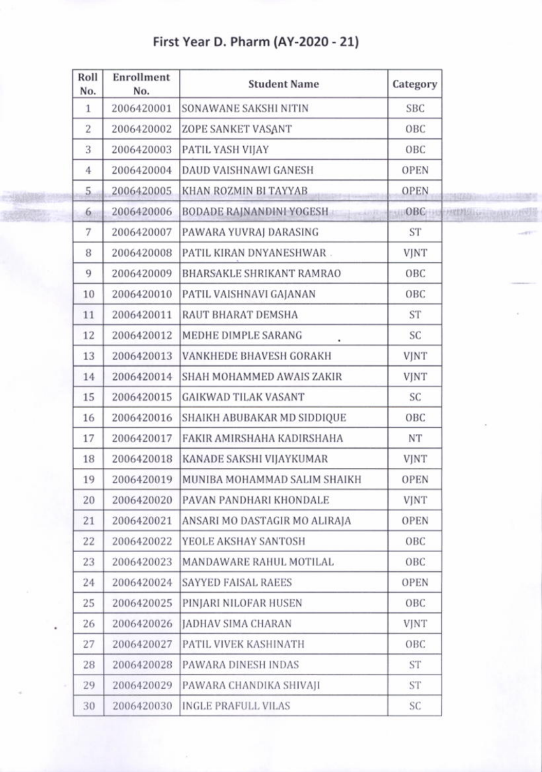First Year D. Pharm (AY-2020 - 21)

| Roll<br>No.    | Enrollment<br>No. | <b>Student Name</b>             | Category    |                              |
|----------------|-------------------|---------------------------------|-------------|------------------------------|
| $\mathbf{1}$   | 2006420001        | SONAWANE SAKSHI NITIN           | <b>SBC</b>  |                              |
| $\overline{2}$ | 2006420002        | ZOPE SANKET VASANT              | OBC         |                              |
| 3              | 2006420003        | PATIL YASH VIJAY                | OBC         |                              |
| $\overline{4}$ | 2006420004        | DAUD VAISHNAWI GANESH           | <b>OPEN</b> |                              |
| 5.             | 2006420005        | KHAN ROZMIN BI TAYYAB           | <b>OPEN</b> | Milkinna Collection"         |
| 6              | 2006420006        | <b>BODADE RAJNANDINI YOGESH</b> |             | PAUOBCHIC PRINTING CAISERFUL |
| 7              | 2006420007        | PAWARA YUVRAJ DARASING          | <b>ST</b>   | $-0.01$                      |
| 8              | 2006420008        | PATIL KIRAN DNYANESHWAR.        | <b>VJNT</b> |                              |
| 9              | 2006420009        | BHARSAKLE SHRIKANT RAMRAO       | OBC         |                              |
| 10             | 2006420010        | PATIL VAISHNAVI GAJANAN         | OBC         |                              |
| 11             | 2006420011        | RAUT BHARAT DEMSHA              | <b>ST</b>   |                              |
| 12             | 2006420012        | MEDHE DIMPLE SARANG             | SC          |                              |
| 13             | 2006420013        | VANKHEDE BHAVESH GORAKH         | <b>VJNT</b> |                              |
| 14             | 2006420014        | SHAH MOHAMMED AWAIS ZAKIR       | <b>VJNT</b> |                              |
| 15             | 2006420015        | <b>GAIKWAD TILAK VASANT</b>     | SC          |                              |
| 16             | 2006420016        | SHAIKH ABUBAKAR MD SIDDIQUE     | OBC         |                              |
| 17             | 2006420017        | FAKIR AMIRSHAHA KADIRSHAHA      | NT          |                              |
| 18             | 2006420018        | KANADE SAKSHI VIJAYKUMAR        | VJNT        |                              |
| 19             | 2006420019        | MUNIBA MOHAMMAD SALIM SHAIKH    | <b>OPEN</b> |                              |
| 20             | 2006420020        | PAVAN PANDHARI KHONDALE         | <b>VJNT</b> |                              |
| 21             | 2006420021        | ANSARI MO DASTAGIR MO ALIRAJA   | <b>OPEN</b> |                              |
| 22             | 2006420022        | YEOLE AKSHAY SANTOSH            | OBC         |                              |
| 23             | 2006420023        | MANDAWARE RAHUL MOTILAL         | OBC         |                              |
| 24             | 2006420024        | <b>SAYYED FAISAL RAEES</b>      | OPEN        |                              |
| 25             | 2006420025        | PINJARI NILOFAR HUSEN           | OBC         |                              |
| 26             | 2006420026        | JADHAV SIMA CHARAN              | <b>VJNT</b> |                              |
| 27             | 2006420027        | PATIL VIVEK KASHINATH           | OBC         |                              |
| 28             | 2006420028        | PAWARA DINESH INDAS             | <b>ST</b>   |                              |
| 29             | 2006420029        | PAWARA CHANDIKA SHIVAJI         | <b>ST</b>   |                              |
| 30             | 2006420030        | <b>INGLE PRAFULL VILAS</b>      | SC          |                              |

X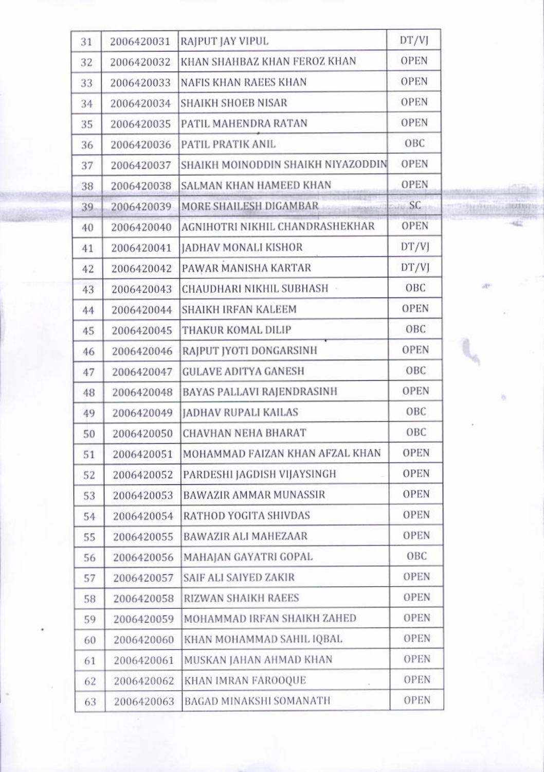| 31 | 2006420031 | RAJPUT JAY VIPUL                   | DT/VJ       |         |
|----|------------|------------------------------------|-------------|---------|
| 32 | 2006420032 | KHAN SHAHBAZ KHAN FEROZ KHAN       | <b>OPEN</b> |         |
| 33 | 2006420033 | <b>NAFIS KHAN RAEES KHAN</b>       | <b>OPEN</b> |         |
| 34 | 2006420034 | <b>SHAIKH SHOEB NISAR</b>          | <b>OPEN</b> |         |
| 35 | 2006420035 | PATIL MAHENDRA RATAN               | <b>OPEN</b> |         |
| 36 | 2006420036 | PATIL PRATIK ANIL                  | OBC         |         |
| 37 | 2006420037 | SHAIKH MOINODDIN SHAIKH NIYAZODDIN | <b>OPEN</b> |         |
| 38 | 2006420038 | SALMAN KHAN HAMEED KHAN            | <b>OPEN</b> |         |
| 39 | 2006420039 | MORE SHAILESH DIGAMBAR             | SC          | 2112356 |
| 40 | 2006420040 | AGNIHOTRI NIKHIL CHANDRASHEKHAR    | <b>OPEN</b> |         |
| 41 | 2006420041 | <b>JADHAV MONALI KISHOR</b>        | DT/VJ       |         |
| 42 | 2006420042 | PAWAR MANISHA KARTAR               | DT/VJ       |         |
| 43 | 2006420043 | CHAUDHARI NIKHIL SUBHASH -         | OBC         | ap-     |
| 44 | 2006420044 | SHAIKH IRFAN KALEEM                | OPEN        |         |
| 45 | 2006420045 | THAKUR KOMAL DILIP                 | OBC         |         |
| 46 | 2006420046 | RAJPUT JYOTI DONGARSINH            | <b>OPEN</b> |         |
| 47 | 2006420047 | <b>GULAVE ADITYA GANESH</b>        | OBC         |         |
| 48 | 2006420048 | BAYAS PALLAVI RAJENDRASINH         | <b>OPEN</b> |         |
| 49 | 2006420049 | JADHAV RUPALI KAILAS               | OBC         |         |
| 50 | 2006420050 | <b>CHAVHAN NEHA BHARAT</b>         | OBC         |         |
| 51 | 2006420051 | MOHAMMAD FAIZAN KHAN AFZAL KHAN    | <b>OPEN</b> |         |
| 52 | 2006420052 | PARDESHI JAGDISH VIJAYSINGH        | <b>OPEN</b> |         |
| 53 | 2006420053 | BAWAZIR AMMAR MUNASSIR             | <b>OPEN</b> |         |
| 54 | 2006420054 | RATHOD YOGITA SHIVDAS              | <b>OPEN</b> |         |
| 55 | 2006420055 | BAWAZIR ALI MAHEZAAR               | <b>OPEN</b> |         |
| 56 | 2006420056 | MAHAJAN GAYATRI GOPAL              | OBC         |         |
| 57 | 2006420057 | SAIF ALI SAIYED ZAKIR              | <b>OPEN</b> |         |
| 58 | 2006420058 | RIZWAN SHAIKH RAEES                | <b>OPEN</b> |         |
| 59 | 2006420059 | MOHAMMAD IRFAN SHAIKH ZAHED        | <b>OPEN</b> |         |
| 60 | 2006420060 | KHAN MOHAMMAD SAHIL IQBAL          | <b>OPEN</b> |         |
| 61 | 2006420061 | MUSKAN JAHAN AHMAD KHAN            | <b>OPEN</b> |         |
| 62 | 2006420062 | KHAN IMRAN FAROOQUE<br>$\sim$      | <b>OPEN</b> |         |
| 63 | 2006420063 | BAGAD MINAKSHI SOMANATH            | <b>OPEN</b> |         |
|    |            |                                    |             |         |

 $-354107$ κÈ

b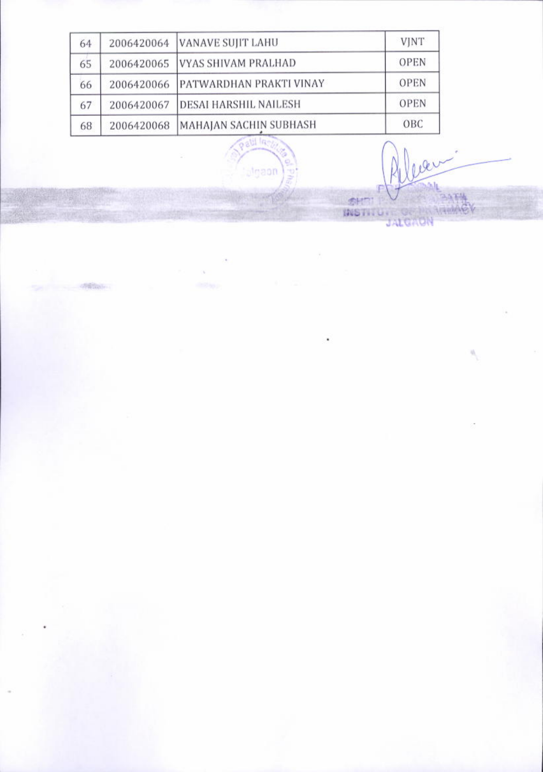| 64 | 2006420064 | <b>VANAVE SUJIT LAHU</b>       | <b>VJNT</b> |
|----|------------|--------------------------------|-------------|
| 65 | 2006420065 | VYAS SHIVAM PRALHAD            | <b>OPEN</b> |
| 66 | 2006420066 | <b>PATWARDHAN PRAKTI VINAY</b> | <b>OPEN</b> |
| 67 | 2006420067 | <b>DESAI HARSHIL NAILESH</b>   | <b>OPEN</b> |
| 68 | 2006420068 | MAHAJAN SACHIN SUBHASH         | OBC         |
|    |            |                                |             |

algaon

ò.

明確定

**MAY** 

E,

ber. **SHITTLE OF BATH**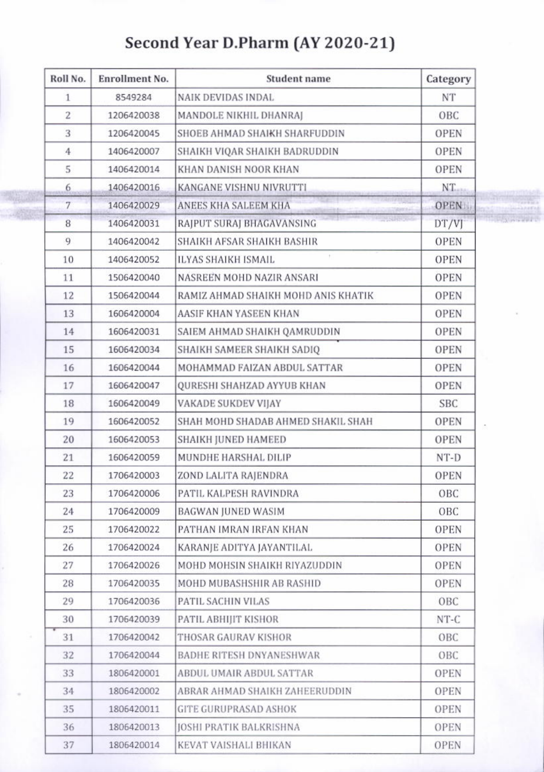## Second Year D.Pharm (AY 2020-21)

| Roll No.       | <b>Enrollment No.</b> | <b>Student name</b>                 | Category    |
|----------------|-----------------------|-------------------------------------|-------------|
| $\mathbf{1}$   | 8549284               | NAIK DEVIDAS INDAL                  | NT          |
| $\overline{2}$ | 1206420038            | MANDOLE NIKHIL DHANRAJ              | OBC         |
| 3              | 1206420045            | SHOEB AHMAD SHAIKH SHARFUDDIN       | <b>OPEN</b> |
| $\overline{4}$ | 1406420007            | SHAIKH VIQAR SHAIKH BADRUDDIN       | <b>OPEN</b> |
| 5              | 1406420014            | KHAN DANISH NOOR KHAN               | <b>OPEN</b> |
| 6              | 1406420016            | <b>KANGANE VISHNU NIVRUTTI</b>      | NT.         |
| 7              | 1406420029            | ANEES KHA SALEEM KHA                | OPEN.       |
| 8              | 1406420031            | RAJPUT SURAJ BHAGAVANSING           | DT/VJ       |
| 9              | 1406420042            | SHAIKH AFSAR SHAIKH BASHIR          | <b>OPEN</b> |
| 10             | 1406420052            | $\pm$<br>ILYAS SHAIKH ISMAIL        | <b>OPEN</b> |
| 11             | 1506420040            | NASREEN MOHD NAZIR ANSARI           | <b>OPEN</b> |
| 12             | 1506420044            | RAMIZ AHMAD SHAIKH MOHD ANIS KHATIK | <b>OPEN</b> |
| 13             | 1606420004            | AASIF KHAN YASEEN KHAN              | <b>OPEN</b> |
| 14             | 1606420031            | SAIEM AHMAD SHAIKH QAMRUDDIN        | <b>OPEN</b> |
| 15             | 1606420034            | SHAIKH SAMEER SHAIKH SADIQ          | <b>OPEN</b> |
| 16             | 1606420044            | MOHAMMAD FAIZAN ABDUL SATTAR        | <b>OPEN</b> |
| 17             | 1606420047            | QURESHI SHAHZAD AYYUB KHAN          | <b>OPEN</b> |
| 18             | 1606420049            | VAKADE SUKDEV VIJAY                 | <b>SBC</b>  |
| 19             | 1606420052            | SHAH MOHD SHADAB AHMED SHAKIL SHAH  | <b>OPEN</b> |
| 20             | 1606420053            | SHAIKH JUNED HAMEED                 | <b>OPEN</b> |
| 21             | 1606420059            | MUNDHE HARSHAL DILIP                | NT-D        |
| 22             | 1706420003            | ZOND LALITA RAJENDRA                | <b>OPEN</b> |
| 23             | 1706420006            | PATIL KALPESH RAVINDRA              | OBC         |
| 24             | 1706420009            | BAGWAN JUNED WASIM                  | OBC.        |
| 25             | 1706420022            | PATHAN IMRAN IRFAN KHAN             | OPEN        |
| 26             | 1706420024            | KARANJE ADITYA JAYANTILAL           | <b>OPEN</b> |
| 27             | 1706420026            | MOHD MOHSIN SHAIKH RIYAZUDDIN       | <b>OPEN</b> |
| 28             | 1706420035            | MOHD MUBASHSHIR AB RASHID           | <b>OPEN</b> |
| 29             | 1706420036            | PATIL SACHIN VILAS                  | OBC         |
| 30             | 1706420039            | PATIL ABHIJIT KISHOR                | $NT-C$      |
| 31             | 1706420042            | THOSAR GAURAV KISHOR                | OBC         |
| 32             | 1706420044            | <b>BADHE RITESH DNYANESHWAR</b>     | OBC         |
| 33             | 1806420001            | ABDUL UMAIR ABDUL SATTAR            | <b>OPEN</b> |
| 34             | 1806420002            | ABRAR AHMAD SHAIKH ZAHEERUDDIN      | <b>OPEN</b> |
| 35             | 1806420011            | <b>GITE GURUPRASAD ASHOK</b>        | <b>OPEN</b> |
| 36             | 1806420013            | <b>JOSHI PRATIK BALKRISHNA</b>      | <b>OPEN</b> |
| 37             | 1806420014            | KEVAT VAISHALI BHIKAN               | <b>OPEN</b> |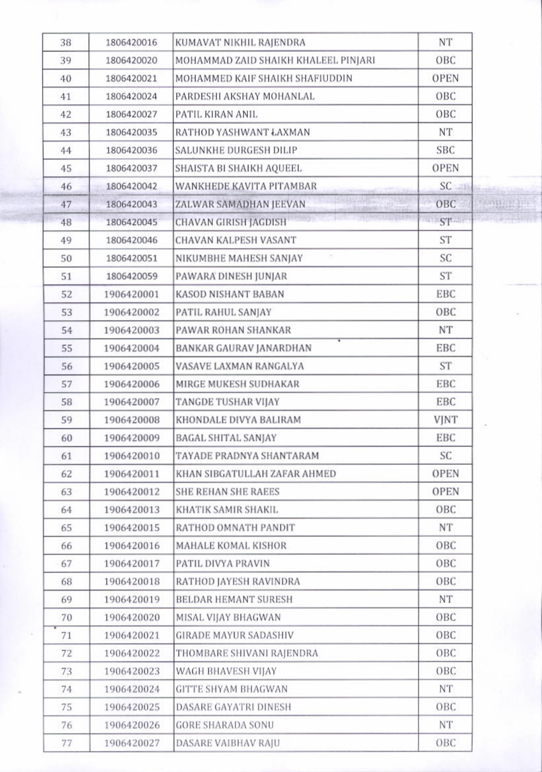| 38 | 1806420016 | KUMAVAT NIKHIL RAJENDRA              | NT             |                      |
|----|------------|--------------------------------------|----------------|----------------------|
| 39 | 1806420020 | MOHAMMAD ZAID SHAIKH KHALEEL PINJARI | OBC            |                      |
| 40 | 1806420021 | MOHAMMED KAIF SHAIKH SHAFIUDDIN      | <b>OPEN</b>    |                      |
| 41 | 1806420024 | PARDESHI AKSHAY MOHANLAL             | OBC            |                      |
| 42 | 1806420027 | PATIL KIRAN ANIL                     | OBC            |                      |
| 43 | 1806420035 | RATHOD YASHWANT ŁAXMAN               | <b>NT</b>      |                      |
| 44 | 1806420036 | SALUNKHE DURGESH DILIP               | <b>SBC</b>     |                      |
| 45 | 1806420037 | SHAISTA BI SHAIKH AQUEEL             | <b>OPEN</b>    |                      |
| 46 | 1806420042 | WANKHEDE KAVITA PITAMBAR             | $SC = 14$      | <b>Hostin</b>        |
| 47 | 1806420043 | ZALWAR SAMADHAN JEEVAN<br>2120400-01 | OBC            | V NAPHANIKE          |
| 48 | 1806420045 | <b>CHAVAN GIRISH JAGDISH</b>         | 7639<br>$ST -$ | <b>Stair Leophol</b> |
| 49 | 1806420046 | CHAVAN KALPESH VASANT                | <b>ST</b>      |                      |
| 50 | 1806420051 | NIKUMBHE MAHESH SANJAY               | SC             |                      |
| 51 | 1806420059 | PAWARA DINESH JUNJAR                 | <b>ST</b>      |                      |
| 52 | 1906420001 | <b>KASOD NISHANT BABAN</b>           | EBC            |                      |
| 53 | 1906420002 | PATIL RAHUL SANJAY                   | OBC            |                      |
| 54 | 1906420003 | PAWAR ROHAN SHANKAR                  | NΤ             |                      |
| 55 | 1906420004 | BANKAR GAURAV JANARDHAN              | EBC            |                      |
| 56 | 1906420005 | VASAVE LAXMAN RANGALYA               | <b>ST</b>      |                      |
| 57 | 1906420006 | MIRGE MUKESH SUDHAKAR                | EBC            |                      |
| 58 | 1906420007 | TANGDE TUSHAR VIJAY                  | EBC            |                      |
| 59 | 1906420008 | KHONDALE DIVYA BALIRAM               | <b>VJNT</b>    |                      |
| 60 | 1906420009 | BAGAL SHITAL SANJAY                  | EBC            |                      |
| 61 | 1906420010 | TAYADE PRADNYA SHANTARAM             | SC             |                      |
| 62 | 1906420011 | KHAN SIBGATULLAH ZAFAR AHMED         | OPEN           |                      |
| 63 | 1906420012 | <b>SHE REHAN SHE RAEES</b>           | <b>OPEN</b>    |                      |
| 64 | 1906420013 | KHATIK SAMIR SHAKIL                  | OBC            |                      |
| 65 | 1906420015 | RATHOD OMNATH PANDIT                 | NT             |                      |
| 66 | 1906420016 | MAHALE KOMAL KISHOR                  | OBC            |                      |
| 67 | 1906420017 | PATIL DIVYA PRAVIN                   | OBC            |                      |
| 68 | 1906420018 | RATHOD JAYESH RAVINDRA               | OBC            |                      |
| 69 | 1906420019 | BELDAR HEMANT SURESH                 | <b>NT</b>      |                      |
| 70 | 1906420020 | MISAL VIJAY BHAGWAN                  | OBC            |                      |
| 71 | 1906420021 | <b>GIRADE MAYUR SADASHIV</b>         | OBC            |                      |
| 72 | 1906420022 | THOMBARE SHIVANI RAJENDRA            | OBC            |                      |
| 73 | 1906420023 | WAGH BHAVESH VIJAY                   | OBC            |                      |
| 74 | 1906420024 | <b>GITTE SHYAM BHAGWAN</b>           | NT             |                      |
| 75 | 1906420025 | DASARE GAYATRI DINESH                | OBC            |                      |
| 76 | 1906420026 | <b>GORE SHARADA SONU</b>             | <b>NT</b>      |                      |
| 77 | 1906420027 | DASARE VAIBHAV RAJU                  | OBC            |                      |